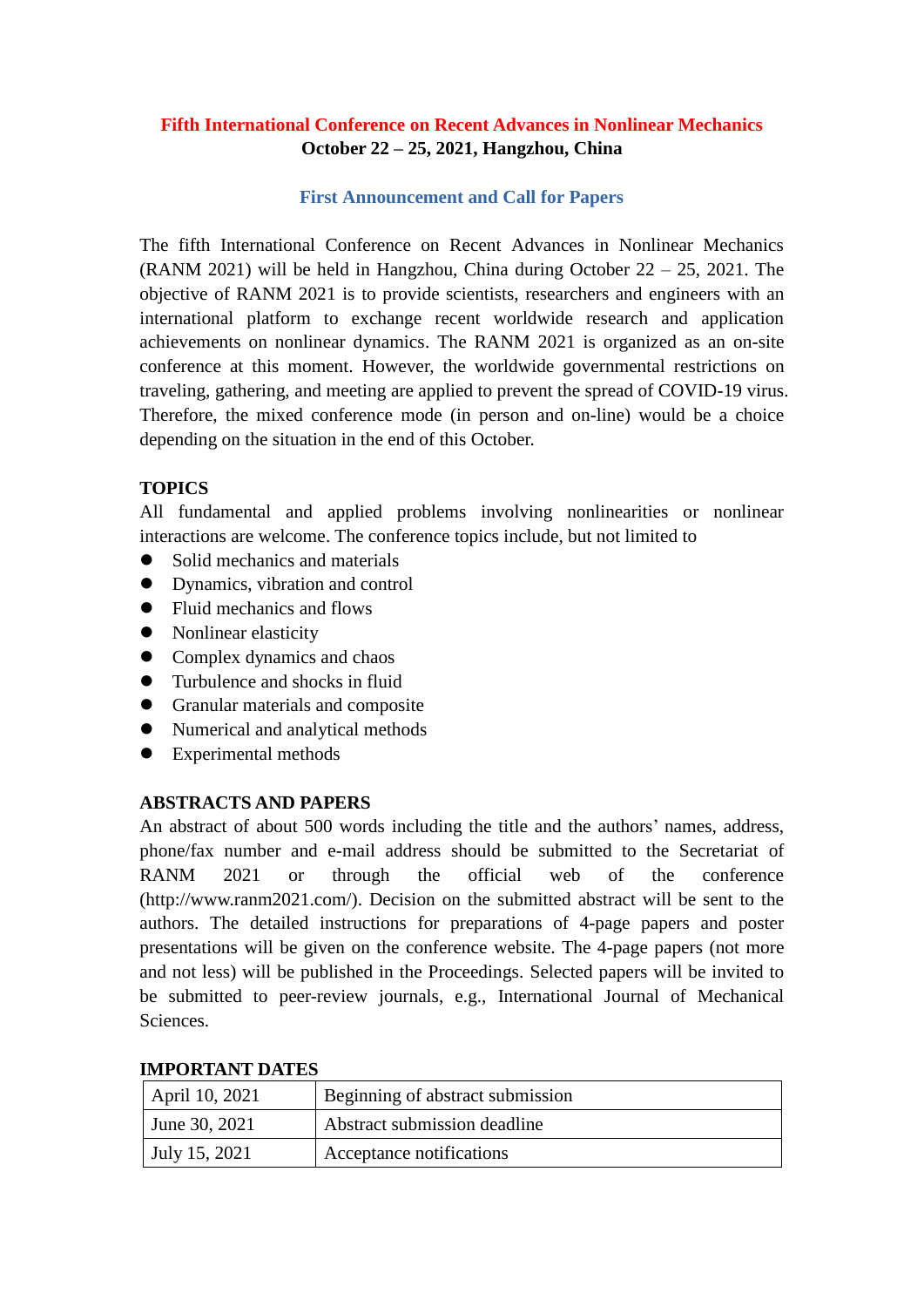# **Fifth International Conference on Recent Advances in Nonlinear Mechanics October 22 – 25, 2021, Hangzhou, China**

## **First Announcement and Call for Papers**

The fifth International Conference on Recent Advances in Nonlinear Mechanics (RANM 2021) will be held in Hangzhou, China during October 22 – 25, 2021. The objective of RANM 2021 is to provide scientists, researchers and engineers with an international platform to exchange recent worldwide research and application achievements on nonlinear dynamics. The RANM 2021 is organized as an on-site conference at this moment. However, the worldwide governmental restrictions on traveling, gathering, and meeting are applied to prevent the spread of COVID-19 virus. Therefore, the mixed conference mode (in person and on-line) would be a choice depending on the situation in the end of this October.

## **TOPICS**

All fundamental and applied problems involving nonlinearities or nonlinear interactions are welcome. The conference topics include, but not limited to

- Solid mechanics and materials
- Dynamics, vibration and control
- Fluid mechanics and flows
- Nonlinear elasticity
- Complex dynamics and chaos
- Turbulence and shocks in fluid
- **•** Granular materials and composite
- Numerical and analytical methods
- Experimental methods

## **ABSTRACTS AND PAPERS**

An abstract of about 500 words including the title and the authors' names, address, phone/fax number and e-mail address should be submitted to the Secretariat of RANM 2021 or through the official web of the conference (http://www.ranm2021.com/). Decision on the submitted abstract will be sent to the authors. The detailed instructions for preparations of 4-page papers and poster presentations will be given on the conference website. The 4-page papers (not more and not less) will be published in the Proceedings. Selected papers will be invited to be submitted to peer-review journals, e.g., International Journal of Mechanical Sciences.

| April 10, 2021 | Beginning of abstract submission |  |
|----------------|----------------------------------|--|
| June 30, 2021  | Abstract submission deadline     |  |
| July 15, 2021  | Acceptance notifications         |  |

#### **IMPORTANT DATES**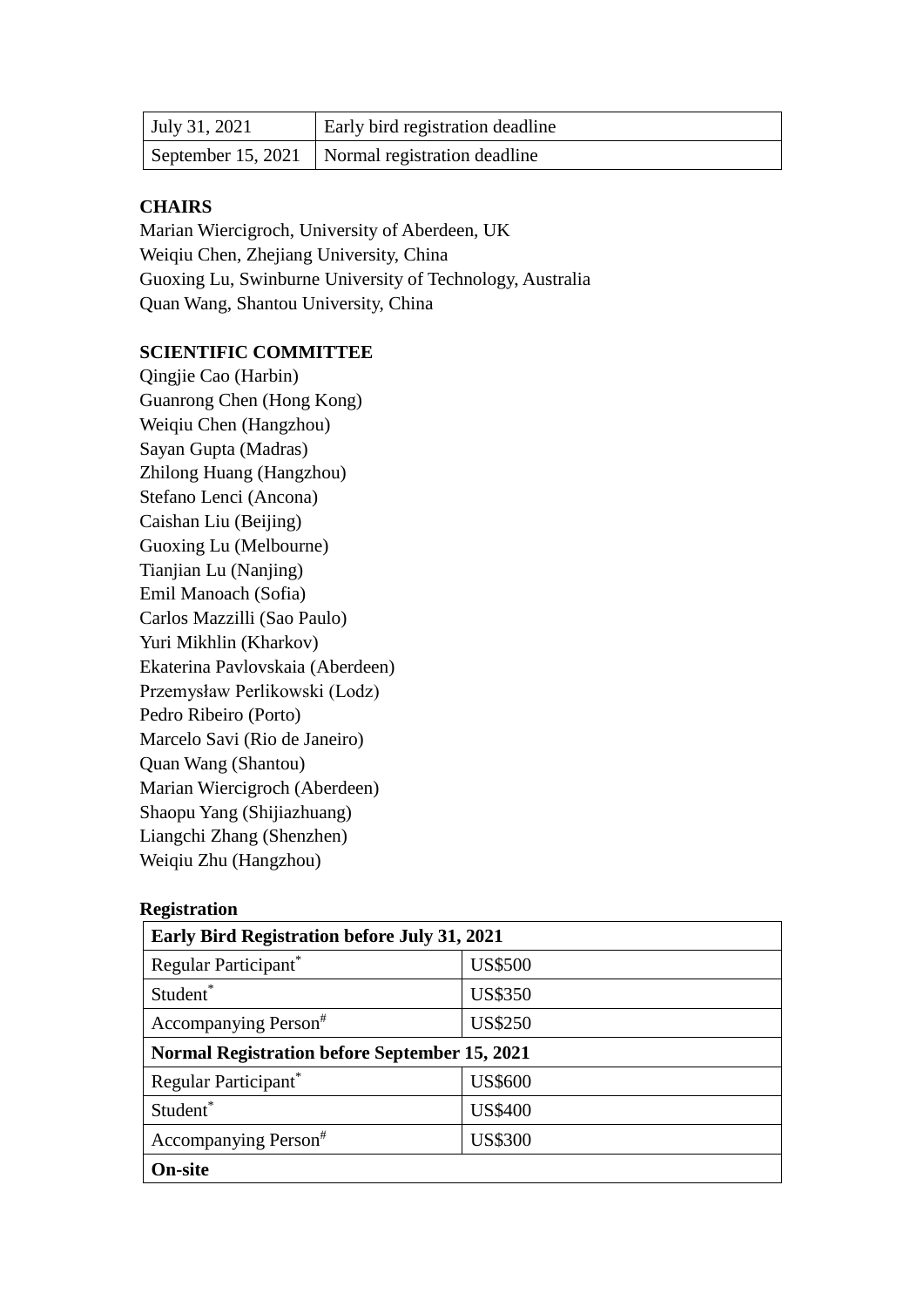| <b>July 31, 2021</b> | Early bird registration deadline                  |
|----------------------|---------------------------------------------------|
|                      | September 15, 2021   Normal registration deadline |

#### **CHAIRS**

Marian Wiercigroch, University of Aberdeen, UK Weiqiu Chen, Zhejiang University, China Guoxing Lu, Swinburne University of Technology, Australia Quan Wang, Shantou University, China

## **SCIENTIFIC COMMITTEE**

Qingjie Cao (Harbin) Guanrong Chen (Hong Kong) Weiqiu Chen (Hangzhou) Sayan Gupta (Madras) Zhilong Huang (Hangzhou) Stefano Lenci (Ancona) Caishan Liu (Beijing) Guoxing Lu (Melbourne) Tianjian Lu (Nanjing) Emil Manoach (Sofia) Carlos Mazzilli (Sao Paulo) Yuri Mikhlin (Kharkov) Ekaterina Pavlovskaia (Aberdeen) Przemysław Perlikowski (Lodz) Pedro Ribeiro (Porto) Marcelo Savi (Rio de Janeiro) Quan Wang (Shantou) Marian Wiercigroch (Aberdeen) Shaopu Yang (Shijiazhuang) Liangchi Zhang (Shenzhen) Weiqiu Zhu (Hangzhou)

#### **Registration**

| Early Bird Registration before July 31, 2021         |                |  |
|------------------------------------------------------|----------------|--|
| Regular Participant*                                 | <b>US\$500</b> |  |
| Student*                                             | <b>US\$350</b> |  |
| Accompanying Person#                                 | <b>US\$250</b> |  |
| <b>Normal Registration before September 15, 2021</b> |                |  |
| Regular Participant*                                 | <b>US\$600</b> |  |
| Student*                                             | <b>US\$400</b> |  |
| Accompanying Person#                                 | <b>US\$300</b> |  |
| <b>On-site</b>                                       |                |  |